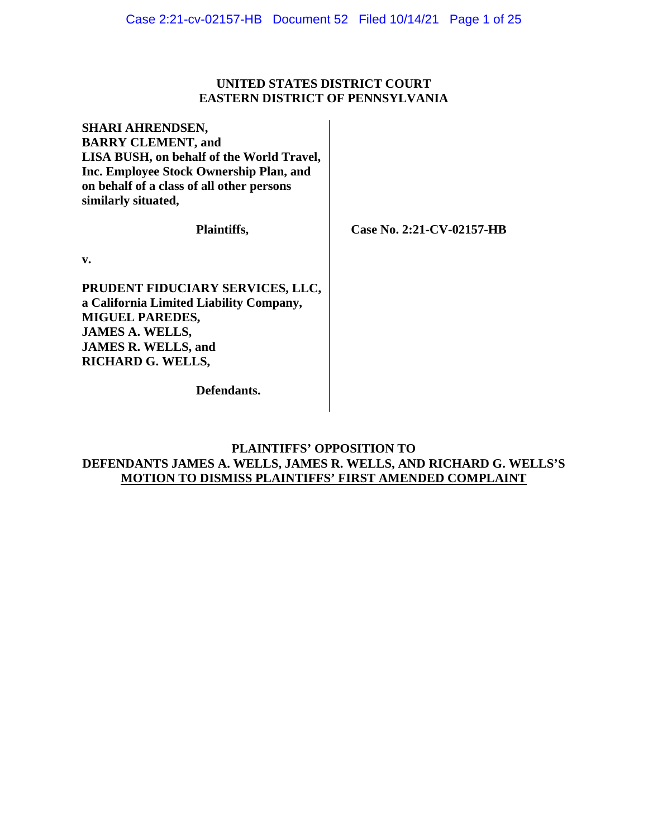## **UNITED STATES DISTRICT COURT EASTERN DISTRICT OF PENNSYLVANIA**

**SHARI AHRENDSEN, BARRY CLEMENT, and LISA BUSH, on behalf of the World Travel, Inc. Employee Stock Ownership Plan, and on behalf of a class of all other persons similarly situated,**

**Plaintiffs,**

 **Case No. 2:21-CV-02157-HB**

**v.**

**PRUDENT FIDUCIARY SERVICES, LLC, a California Limited Liability Company, MIGUEL PAREDES, JAMES A. WELLS, JAMES R. WELLS, and RICHARD G. WELLS,**

**Defendants.**

## **PLAINTIFFS' OPPOSITION TO DEFENDANTS JAMES A. WELLS, JAMES R. WELLS, AND RICHARD G. WELLS'S MOTION TO DISMISS PLAINTIFFS' FIRST AMENDED COMPLAINT**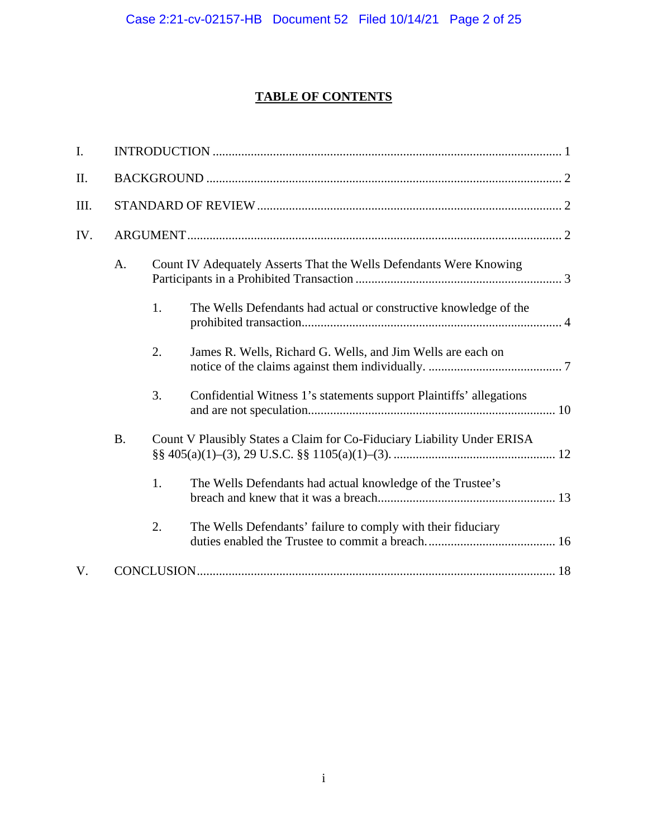# **TABLE OF CONTENTS**

| I.  |           |                                                                    |                                                                         |  |  |  |  |
|-----|-----------|--------------------------------------------------------------------|-------------------------------------------------------------------------|--|--|--|--|
| II. |           |                                                                    |                                                                         |  |  |  |  |
| Ш.  |           |                                                                    |                                                                         |  |  |  |  |
| IV. |           |                                                                    |                                                                         |  |  |  |  |
|     | A.        | Count IV Adequately Asserts That the Wells Defendants Were Knowing |                                                                         |  |  |  |  |
|     |           | 1.                                                                 | The Wells Defendants had actual or constructive knowledge of the        |  |  |  |  |
|     |           | 2.                                                                 | James R. Wells, Richard G. Wells, and Jim Wells are each on             |  |  |  |  |
|     |           | 3.                                                                 | Confidential Witness 1's statements support Plaintiffs' allegations     |  |  |  |  |
|     | <b>B.</b> |                                                                    | Count V Plausibly States a Claim for Co-Fiduciary Liability Under ERISA |  |  |  |  |
|     |           | 1.                                                                 | The Wells Defendants had actual knowledge of the Trustee's              |  |  |  |  |
|     |           | 2.                                                                 | The Wells Defendants' failure to comply with their fiduciary            |  |  |  |  |
| V.  |           |                                                                    |                                                                         |  |  |  |  |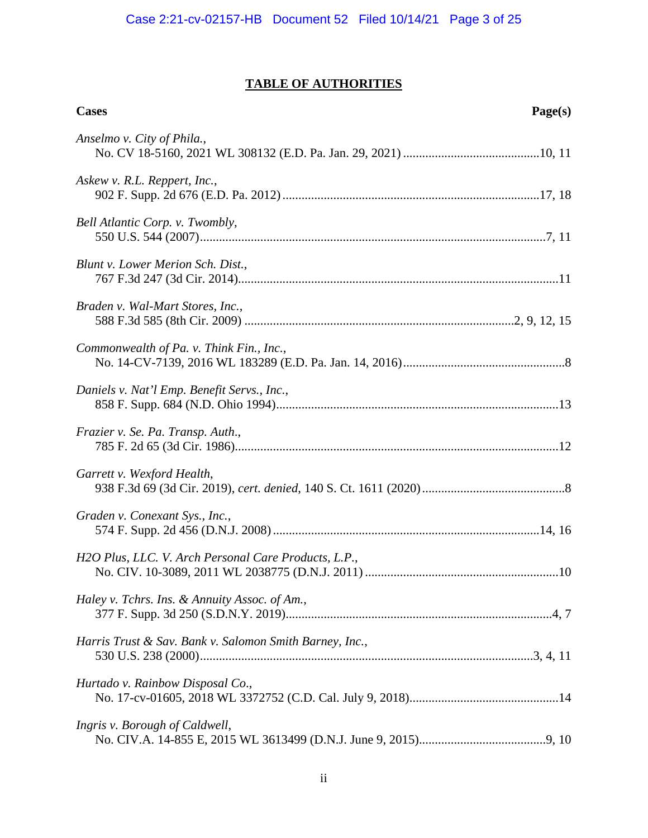## **TABLE OF AUTHORITIES**

| <b>Cases</b>                                            | Page(s) |
|---------------------------------------------------------|---------|
| Anselmo v. City of Phila.,                              |         |
| Askew v. R.L. Reppert, Inc.,                            |         |
| Bell Atlantic Corp. v. Twombly,                         |         |
| Blunt v. Lower Merion Sch. Dist.,                       |         |
| Braden v. Wal-Mart Stores, Inc.,                        |         |
| Commonwealth of Pa. v. Think Fin., Inc.,                |         |
| Daniels v. Nat'l Emp. Benefit Servs., Inc.,             |         |
| Frazier v. Se. Pa. Transp. Auth.,                       |         |
| Garrett v. Wexford Health,                              |         |
| Graden v. Conexant Sys., Inc.,                          |         |
| H2O Plus, LLC. V. Arch Personal Care Products, L.P.,    |         |
| Haley v. Tchrs. Ins. & Annuity Assoc. of Am.,           |         |
| Harris Trust & Sav. Bank v. Salomon Smith Barney, Inc., |         |
| Hurtado v. Rainbow Disposal Co.,                        |         |
| Ingris v. Borough of Caldwell,                          |         |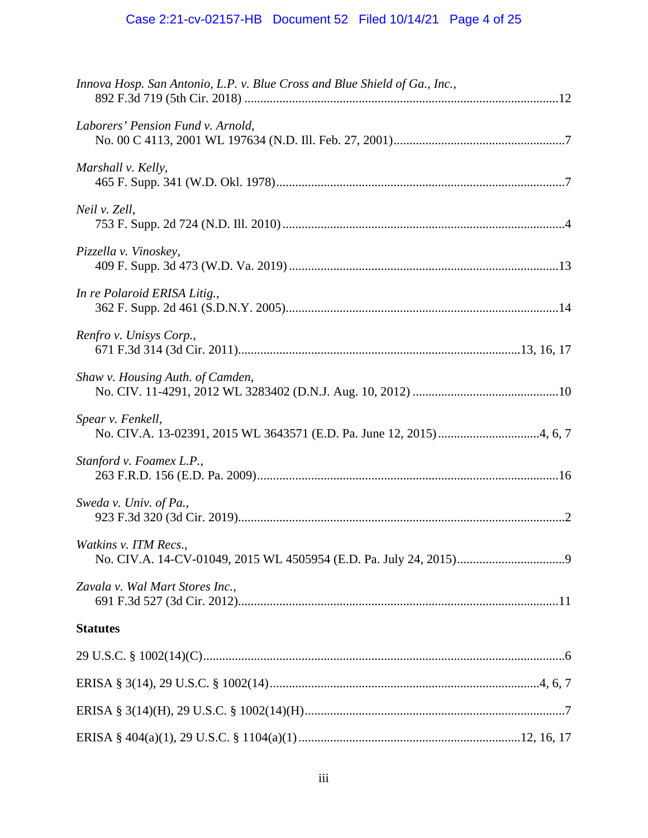| Innova Hosp. San Antonio, L.P. v. Blue Cross and Blue Shield of Ga., Inc., |  |
|----------------------------------------------------------------------------|--|
| Laborers' Pension Fund v. Arnold,                                          |  |
| Marshall v. Kelly,                                                         |  |
| Neil v. Zell,                                                              |  |
| Pizzella v. Vinoskey,                                                      |  |
| In re Polaroid ERISA Litig.,                                               |  |
| Renfro v. Unisys Corp.,                                                    |  |
| Shaw v. Housing Auth. of Camden,                                           |  |
| Spear v. Fenkell,                                                          |  |
| Stanford v. Foamex L.P.,                                                   |  |
| Sweda v. Univ. of Pa.,                                                     |  |
| Watkins v. ITM Recs.,                                                      |  |
| Zavala v. Wal Mart Stores Inc.,                                            |  |
| <b>Statutes</b>                                                            |  |
|                                                                            |  |
|                                                                            |  |
|                                                                            |  |
|                                                                            |  |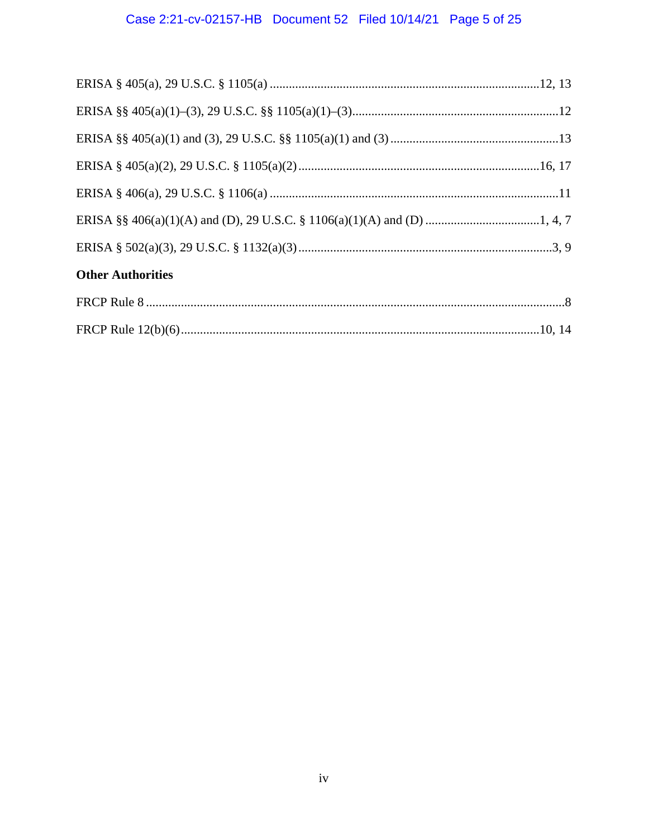# Case 2:21-cv-02157-HB Document 52 Filed 10/14/21 Page 5 of 25

| <b>Other Authorities</b> |  |
|--------------------------|--|
|                          |  |
|                          |  |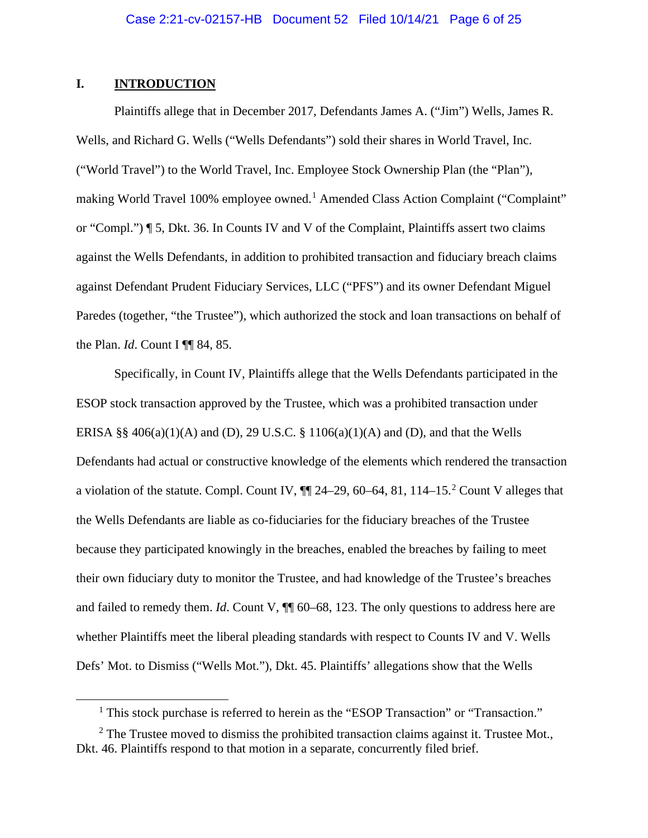## **I. INTRODUCTION**

Plaintiffs allege that in December 2017, Defendants James A. ("Jim") Wells, James R. Wells, and Richard G. Wells ("Wells Defendants") sold their shares in World Travel, Inc. ("World Travel") to the World Travel, Inc. Employee Stock Ownership Plan (the "Plan"), making World Travel [1](#page-5-0)00% employee owned.<sup>1</sup> Amended Class Action Complaint ("Complaint" or "Compl.") ¶ 5, Dkt. 36. In Counts IV and V of the Complaint, Plaintiffs assert two claims against the Wells Defendants, in addition to prohibited transaction and fiduciary breach claims against Defendant Prudent Fiduciary Services, LLC ("PFS") and its owner Defendant Miguel Paredes (together, "the Trustee"), which authorized the stock and loan transactions on behalf of the Plan. *Id*. Count I ¶¶ 84, 85.

Specifically, in Count IV, Plaintiffs allege that the Wells Defendants participated in the ESOP stock transaction approved by the Trustee, which was a prohibited transaction under ERISA §§  $406(a)(1)(A)$  and (D), 29 U.S.C. §  $1106(a)(1)(A)$  and (D), and that the Wells Defendants had actual or constructive knowledge of the elements which rendered the transaction a violation of the statute. Compl. Count IV,  $\P$  [2](#page-5-1)4–29, 60–64, 81, 114–15.<sup>2</sup> Count V alleges that the Wells Defendants are liable as co-fiduciaries for the fiduciary breaches of the Trustee because they participated knowingly in the breaches, enabled the breaches by failing to meet their own fiduciary duty to monitor the Trustee, and had knowledge of the Trustee's breaches and failed to remedy them. *Id*. Count V,  $\P$  60–68, 123. The only questions to address here are whether Plaintiffs meet the liberal pleading standards with respect to Counts IV and V. Wells Defs' Mot. to Dismiss ("Wells Mot."), Dkt. 45. Plaintiffs' allegations show that the Wells

<sup>&</sup>lt;sup>1</sup> This stock purchase is referred to herein as the "ESOP Transaction" or "Transaction."

<span id="page-5-1"></span><span id="page-5-0"></span> $2$  The Trustee moved to dismiss the prohibited transaction claims against it. Trustee Mot., Dkt. 46. Plaintiffs respond to that motion in a separate, concurrently filed brief.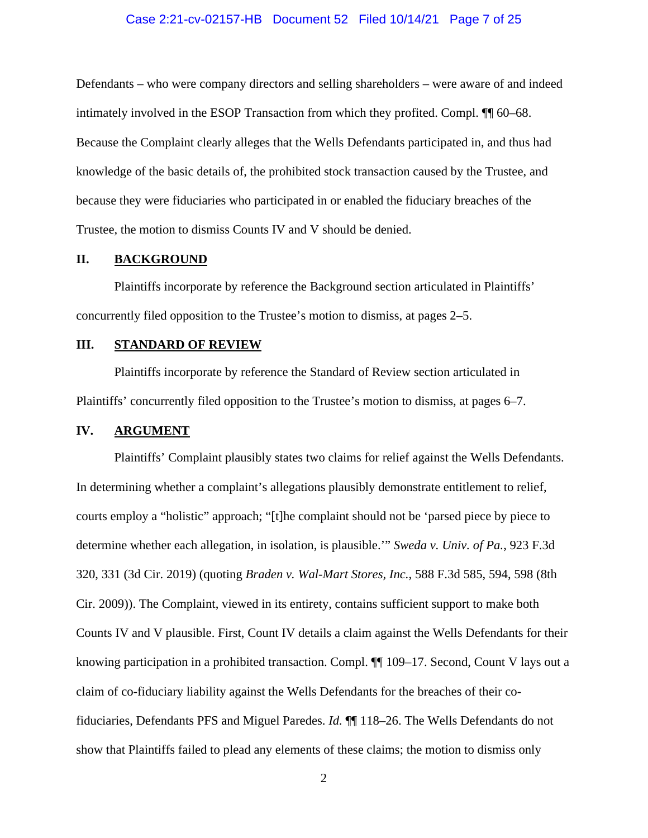#### Case 2:21-cv-02157-HB Document 52 Filed 10/14/21 Page 7 of 25

Defendants – who were company directors and selling shareholders – were aware of and indeed intimately involved in the ESOP Transaction from which they profited. Compl. ¶¶ 60–68. Because the Complaint clearly alleges that the Wells Defendants participated in, and thus had knowledge of the basic details of, the prohibited stock transaction caused by the Trustee, and because they were fiduciaries who participated in or enabled the fiduciary breaches of the Trustee, the motion to dismiss Counts IV and V should be denied.

## **II. BACKGROUND**

Plaintiffs incorporate by reference the Background section articulated in Plaintiffs' concurrently filed opposition to the Trustee's motion to dismiss, at pages 2–5.

## **III. STANDARD OF REVIEW**

Plaintiffs incorporate by reference the Standard of Review section articulated in Plaintiffs' concurrently filed opposition to the Trustee's motion to dismiss, at pages 6–7.

## **IV. ARGUMENT**

Plaintiffs' Complaint plausibly states two claims for relief against the Wells Defendants. In determining whether a complaint's allegations plausibly demonstrate entitlement to relief, courts employ a "holistic" approach; "[t]he complaint should not be 'parsed piece by piece to determine whether each allegation, in isolation, is plausible.'" *Sweda v. Univ. of Pa.*, 923 F.3d 320, 331 (3d Cir. 2019) (quoting *Braden v. Wal-Mart Stores, Inc.*, 588 F.3d 585, 594, 598 (8th Cir. 2009)). The Complaint, viewed in its entirety, contains sufficient support to make both Counts IV and V plausible. First, Count IV details a claim against the Wells Defendants for their knowing participation in a prohibited transaction. Compl.  $\P$  109–17. Second, Count V lays out a claim of co-fiduciary liability against the Wells Defendants for the breaches of their cofiduciaries, Defendants PFS and Miguel Paredes. *Id.* ¶¶ 118–26. The Wells Defendants do not show that Plaintiffs failed to plead any elements of these claims; the motion to dismiss only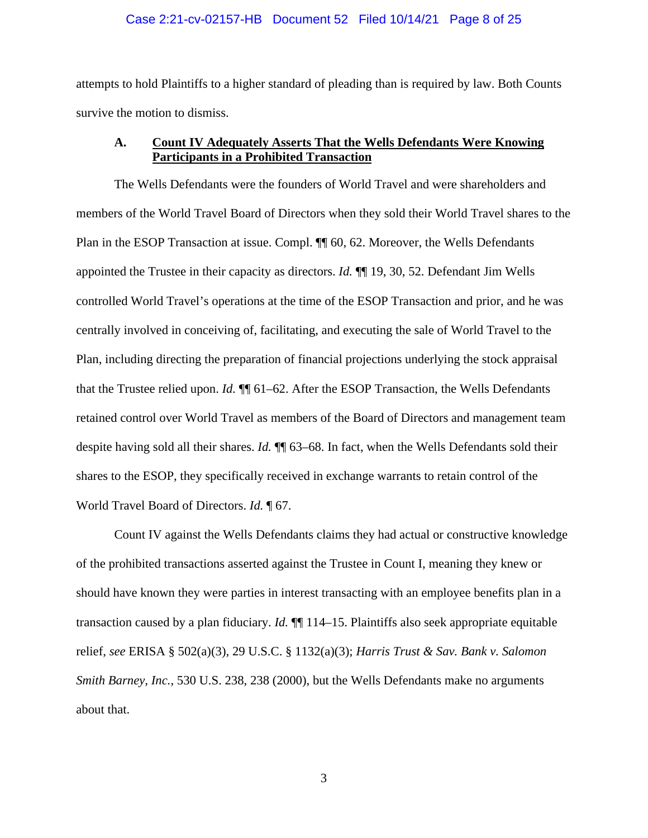#### Case 2:21-cv-02157-HB Document 52 Filed 10/14/21 Page 8 of 25

attempts to hold Plaintiffs to a higher standard of pleading than is required by law. Both Counts survive the motion to dismiss.

## **A. Count IV Adequately Asserts That the Wells Defendants Were Knowing Participants in a Prohibited Transaction**

The Wells Defendants were the founders of World Travel and were shareholders and members of the World Travel Board of Directors when they sold their World Travel shares to the Plan in the ESOP Transaction at issue. Compl.  $\P$  60, 62. Moreover, the Wells Defendants appointed the Trustee in their capacity as directors. *Id.* ¶¶ 19, 30, 52. Defendant Jim Wells controlled World Travel's operations at the time of the ESOP Transaction and prior, and he was centrally involved in conceiving of, facilitating, and executing the sale of World Travel to the Plan, including directing the preparation of financial projections underlying the stock appraisal that the Trustee relied upon. *Id.* ¶¶ 61–62. After the ESOP Transaction, the Wells Defendants retained control over World Travel as members of the Board of Directors and management team despite having sold all their shares. *Id.* ¶¶ 63–68. In fact, when the Wells Defendants sold their shares to the ESOP, they specifically received in exchange warrants to retain control of the World Travel Board of Directors. *Id.* ¶ 67.

Count IV against the Wells Defendants claims they had actual or constructive knowledge of the prohibited transactions asserted against the Trustee in Count I, meaning they knew or should have known they were parties in interest transacting with an employee benefits plan in a transaction caused by a plan fiduciary. *Id.* ¶¶ 114–15. Plaintiffs also seek appropriate equitable relief, *see* ERISA § 502(a)(3), 29 U.S.C. § 1132(a)(3); *Harris Trust & Sav. Bank v. Salomon Smith Barney, Inc.*, 530 U.S. 238, 238 (2000), but the Wells Defendants make no arguments about that.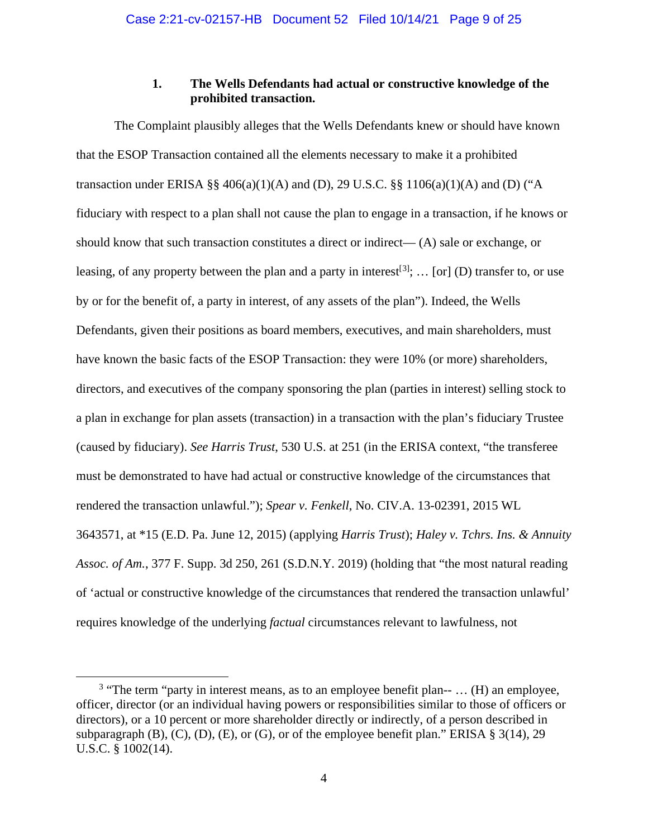## **1. The Wells Defendants had actual or constructive knowledge of the prohibited transaction.**

The Complaint plausibly alleges that the Wells Defendants knew or should have known that the ESOP Transaction contained all the elements necessary to make it a prohibited transaction under ERISA §§  $406(a)(1)(A)$  and (D), 29 U.S.C. §§  $1106(a)(1)(A)$  and (D) ("A fiduciary with respect to a plan shall not cause the plan to engage in a transaction, if he knows or should know that such transaction constitutes a direct or indirect— $(A)$  sale or exchange, or leasing, of any property between the plan and a party in interest<sup>[[3](#page-8-0)]</sup>; ... [or] (D) transfer to, or use by or for the benefit of, a party in interest, of any assets of the plan"). Indeed, the Wells Defendants, given their positions as board members, executives, and main shareholders, must have known the basic facts of the ESOP Transaction: they were 10% (or more) shareholders, directors, and executives of the company sponsoring the plan (parties in interest) selling stock to a plan in exchange for plan assets (transaction) in a transaction with the plan's fiduciary Trustee (caused by fiduciary). *See Harris Trust*, 530 U.S. at 251 (in the ERISA context, "the transferee must be demonstrated to have had actual or constructive knowledge of the circumstances that rendered the transaction unlawful."); *Spear v. Fenkell*, No. CIV.A. 13-02391, 2015 WL 3643571, at \*15 (E.D. Pa. June 12, 2015) (applying *Harris Trust*); *Haley v. Tchrs. Ins. & Annuity Assoc. of Am.*, 377 F. Supp. 3d 250, 261 (S.D.N.Y. 2019) (holding that "the most natural reading of 'actual or constructive knowledge of the circumstances that rendered the transaction unlawful' requires knowledge of the underlying *factual* circumstances relevant to lawfulness, not

<span id="page-8-0"></span><sup>&</sup>lt;sup>3</sup> "The term "party in interest means, as to an employee benefit plan-- ... (H) an employee, officer, director (or an individual having powers or responsibilities similar to those of officers or directors), or a 10 percent or more shareholder directly or indirectly, of a person described in subparagraph (B), (C), (D), (E), or (G), or of the employee benefit plan." ERISA  $\S 3(14)$ , 29 U.S.C. § 1002(14).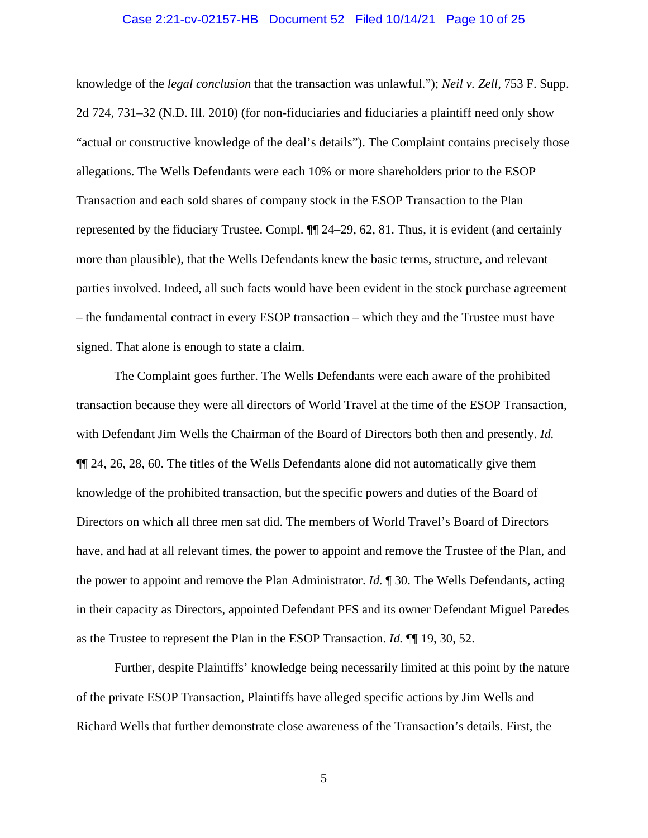#### Case 2:21-cv-02157-HB Document 52 Filed 10/14/21 Page 10 of 25

knowledge of the *legal conclusion* that the transaction was unlawful."); *Neil v. Zell*, 753 F. Supp. 2d 724, 731–32 (N.D. Ill. 2010) (for non-fiduciaries and fiduciaries a plaintiff need only show "actual or constructive knowledge of the deal's details"). The Complaint contains precisely those allegations. The Wells Defendants were each 10% or more shareholders prior to the ESOP Transaction and each sold shares of company stock in the ESOP Transaction to the Plan represented by the fiduciary Trustee. Compl. ¶¶ 24–29, 62, 81. Thus, it is evident (and certainly more than plausible), that the Wells Defendants knew the basic terms, structure, and relevant parties involved. Indeed, all such facts would have been evident in the stock purchase agreement – the fundamental contract in every ESOP transaction – which they and the Trustee must have signed. That alone is enough to state a claim.

The Complaint goes further. The Wells Defendants were each aware of the prohibited transaction because they were all directors of World Travel at the time of the ESOP Transaction, with Defendant Jim Wells the Chairman of the Board of Directors both then and presently. *Id.* ¶¶ 24, 26, 28, 60. The titles of the Wells Defendants alone did not automatically give them knowledge of the prohibited transaction, but the specific powers and duties of the Board of Directors on which all three men sat did. The members of World Travel's Board of Directors have, and had at all relevant times, the power to appoint and remove the Trustee of the Plan, and the power to appoint and remove the Plan Administrator. *Id.* ¶ 30. The Wells Defendants, acting in their capacity as Directors, appointed Defendant PFS and its owner Defendant Miguel Paredes as the Trustee to represent the Plan in the ESOP Transaction. *Id.* ¶¶ 19, 30, 52.

Further, despite Plaintiffs' knowledge being necessarily limited at this point by the nature of the private ESOP Transaction, Plaintiffs have alleged specific actions by Jim Wells and Richard Wells that further demonstrate close awareness of the Transaction's details. First, the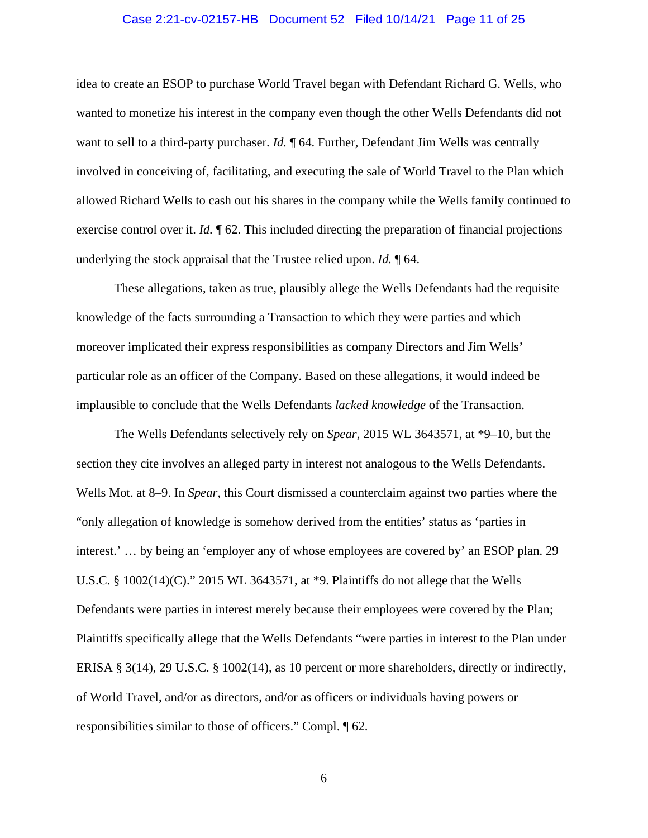#### Case 2:21-cv-02157-HB Document 52 Filed 10/14/21 Page 11 of 25

idea to create an ESOP to purchase World Travel began with Defendant Richard G. Wells, who wanted to monetize his interest in the company even though the other Wells Defendants did not want to sell to a third-party purchaser. *Id.*  $\P$  64. Further, Defendant Jim Wells was centrally involved in conceiving of, facilitating, and executing the sale of World Travel to the Plan which allowed Richard Wells to cash out his shares in the company while the Wells family continued to exercise control over it. *Id.* ¶ 62. This included directing the preparation of financial projections underlying the stock appraisal that the Trustee relied upon. *Id.* ¶ 64.

These allegations, taken as true, plausibly allege the Wells Defendants had the requisite knowledge of the facts surrounding a Transaction to which they were parties and which moreover implicated their express responsibilities as company Directors and Jim Wells' particular role as an officer of the Company. Based on these allegations, it would indeed be implausible to conclude that the Wells Defendants *lacked knowledge* of the Transaction.

The Wells Defendants selectively rely on *Spear*, 2015 WL 3643571, at \*9–10, but the section they cite involves an alleged party in interest not analogous to the Wells Defendants. Wells Mot. at 8–9. In *Spear*, this Court dismissed a counterclaim against two parties where the "only allegation of knowledge is somehow derived from the entities' status as 'parties in interest.' … by being an 'employer any of whose employees are covered by' an ESOP plan. 29 U.S.C. § 1002(14)(C)." 2015 WL 3643571, at \*9. Plaintiffs do not allege that the Wells Defendants were parties in interest merely because their employees were covered by the Plan; Plaintiffs specifically allege that the Wells Defendants "were parties in interest to the Plan under ERISA § 3(14), 29 U.S.C. § 1002(14), as 10 percent or more shareholders, directly or indirectly, of World Travel, and/or as directors, and/or as officers or individuals having powers or responsibilities similar to those of officers." Compl. ¶ 62.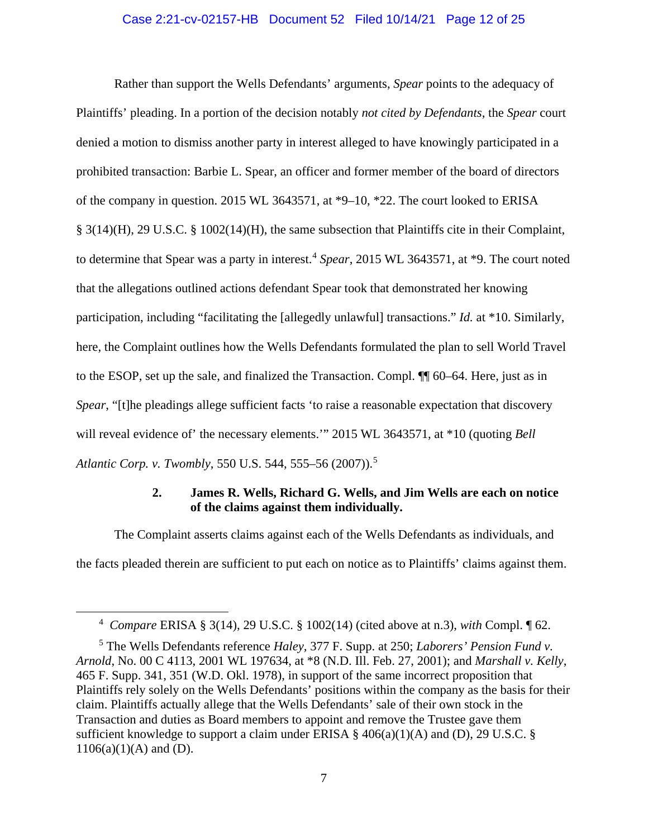#### Case 2:21-cv-02157-HB Document 52 Filed 10/14/21 Page 12 of 25

Rather than support the Wells Defendants' arguments, *Spear* points to the adequacy of Plaintiffs' pleading. In a portion of the decision notably *not cited by Defendants*, the *Spear* court denied a motion to dismiss another party in interest alleged to have knowingly participated in a prohibited transaction: Barbie L. Spear, an officer and former member of the board of directors of the company in question. 2015 WL 3643571, at \*9–10, \*22. The court looked to ERISA § 3(14)(H), 29 U.S.C. § 1002(14)(H), the same subsection that Plaintiffs cite in their Complaint, to determine that Spear was a party in interest. [4](#page-11-0) *Spear*, 2015 WL 3643571, at \*9. The court noted that the allegations outlined actions defendant Spear took that demonstrated her knowing participation, including "facilitating the [allegedly unlawful] transactions." *Id.* at \*10. Similarly, here, the Complaint outlines how the Wells Defendants formulated the plan to sell World Travel to the ESOP, set up the sale, and finalized the Transaction. Compl. ¶¶ 60–64. Here, just as in *Spear*, "[t]he pleadings allege sufficient facts 'to raise a reasonable expectation that discovery will reveal evidence of' the necessary elements.'" 2015 WL 3643571, at  $*10$  (quoting *Bell Atlantic Corp. v. Twombly*, 550 U.S. 544, 555–56 (2007)).[5](#page-11-1)

## **2. James R. Wells, Richard G. Wells, and Jim Wells are each on notice of the claims against them individually.**

The Complaint asserts claims against each of the Wells Defendants as individuals, and the facts pleaded therein are sufficient to put each on notice as to Plaintiffs' claims against them.

<sup>4</sup> *Compare* ERISA § 3(14), 29 U.S.C. § 1002(14) (cited above at n.3), *with* Compl. ¶ 62.

<span id="page-11-1"></span><span id="page-11-0"></span><sup>5</sup> The Wells Defendants reference *Haley,* 377 F. Supp. at 250; *Laborers' Pension Fund v. Arnold*, No. 00 C 4113, 2001 WL 197634, at \*8 (N.D. Ill. Feb. 27, 2001); and *Marshall v. Kelly*, 465 F. Supp. 341, 351 (W.D. Okl. 1978), in support of the same incorrect proposition that Plaintiffs rely solely on the Wells Defendants' positions within the company as the basis for their claim. Plaintiffs actually allege that the Wells Defendants' sale of their own stock in the Transaction and duties as Board members to appoint and remove the Trustee gave them sufficient knowledge to support a claim under ERISA  $\S$  406(a)(1)(A) and (D), 29 U.S.C.  $\S$  $1106(a)(1)(A)$  and (D).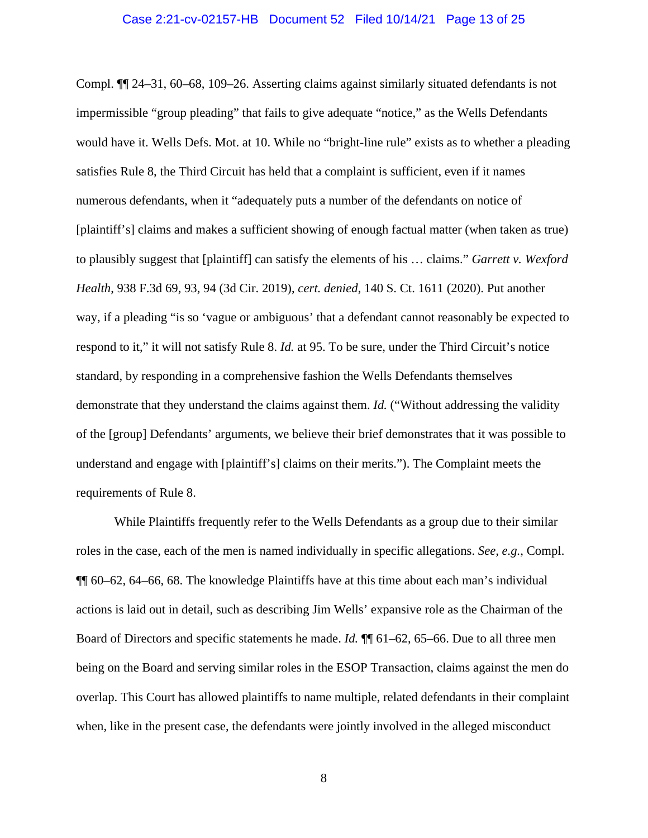Compl. ¶¶ 24–31, 60–68, 109–26. Asserting claims against similarly situated defendants is not impermissible "group pleading" that fails to give adequate "notice," as the Wells Defendants would have it. Wells Defs. Mot. at 10. While no "bright-line rule" exists as to whether a pleading satisfies Rule 8, the Third Circuit has held that a complaint is sufficient, even if it names numerous defendants, when it "adequately puts a number of the defendants on notice of [plaintiff's] claims and makes a sufficient showing of enough factual matter (when taken as true) to plausibly suggest that [plaintiff] can satisfy the elements of his … claims." *Garrett v. Wexford Health*, 938 F.3d 69, 93, 94 (3d Cir. 2019), *cert. denied*, 140 S. Ct. 1611 (2020). Put another way, if a pleading "is so 'vague or ambiguous' that a defendant cannot reasonably be expected to respond to it," it will not satisfy Rule 8. *Id.* at 95. To be sure, under the Third Circuit's notice standard, by responding in a comprehensive fashion the Wells Defendants themselves demonstrate that they understand the claims against them. *Id.* ("Without addressing the validity of the [group] Defendants' arguments, we believe their brief demonstrates that it was possible to understand and engage with [plaintiff's] claims on their merits."). The Complaint meets the requirements of Rule 8.

While Plaintiffs frequently refer to the Wells Defendants as a group due to their similar roles in the case, each of the men is named individually in specific allegations. *See, e.g.*, Compl. ¶¶ 60–62, 64–66, 68. The knowledge Plaintiffs have at this time about each man's individual actions is laid out in detail, such as describing Jim Wells' expansive role as the Chairman of the Board of Directors and specific statements he made. *Id.* ¶¶ 61–62, 65–66. Due to all three men being on the Board and serving similar roles in the ESOP Transaction, claims against the men do overlap. This Court has allowed plaintiffs to name multiple, related defendants in their complaint when, like in the present case, the defendants were jointly involved in the alleged misconduct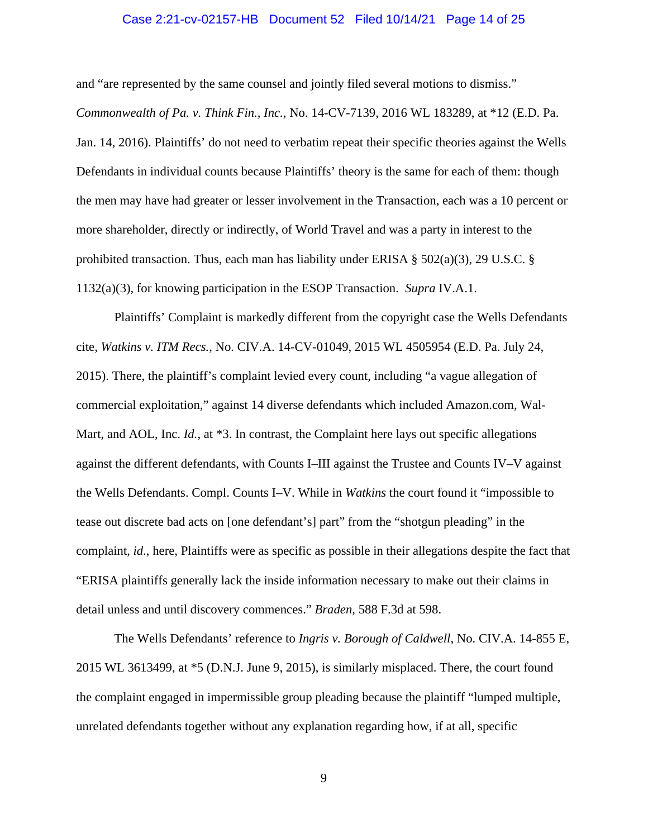#### Case 2:21-cv-02157-HB Document 52 Filed 10/14/21 Page 14 of 25

and "are represented by the same counsel and jointly filed several motions to dismiss."

*Commonwealth of Pa. v. Think Fin., Inc.*, No. 14-CV-7139, 2016 WL 183289, at \*12 (E.D. Pa. Jan. 14, 2016). Plaintiffs' do not need to verbatim repeat their specific theories against the Wells Defendants in individual counts because Plaintiffs' theory is the same for each of them: though the men may have had greater or lesser involvement in the Transaction, each was a 10 percent or more shareholder, directly or indirectly, of World Travel and was a party in interest to the prohibited transaction. Thus, each man has liability under ERISA  $\S$  502(a)(3), 29 U.S.C.  $\S$ 1132(a)(3), for knowing participation in the ESOP Transaction. *Supra* IV.A.1.

Plaintiffs' Complaint is markedly different from the copyright case the Wells Defendants cite, *Watkins v. ITM Recs.*, No. CIV.A. 14-CV-01049, 2015 WL 4505954 (E.D. Pa. July 24, 2015). There, the plaintiff's complaint levied every count, including "a vague allegation of commercial exploitation," against 14 diverse defendants which included Amazon.com, Wal-Mart, and AOL, Inc. *Id.*, at \*3. In contrast, the Complaint here lays out specific allegations against the different defendants, with Counts I–III against the Trustee and Counts IV–V against the Wells Defendants. Compl. Counts I–V. While in *Watkins* the court found it "impossible to tease out discrete bad acts on [one defendant's] part" from the "shotgun pleading" in the complaint, *id*., here, Plaintiffs were as specific as possible in their allegations despite the fact that "ERISA plaintiffs generally lack the inside information necessary to make out their claims in detail unless and until discovery commences." *Braden,* 588 F.3d at 598.

The Wells Defendants' reference to *Ingris v. Borough of Caldwell*, No. CIV.A. 14-855 E, 2015 WL 3613499, at \*5 (D.N.J. June 9, 2015), is similarly misplaced. There, the court found the complaint engaged in impermissible group pleading because the plaintiff "lumped multiple, unrelated defendants together without any explanation regarding how, if at all, specific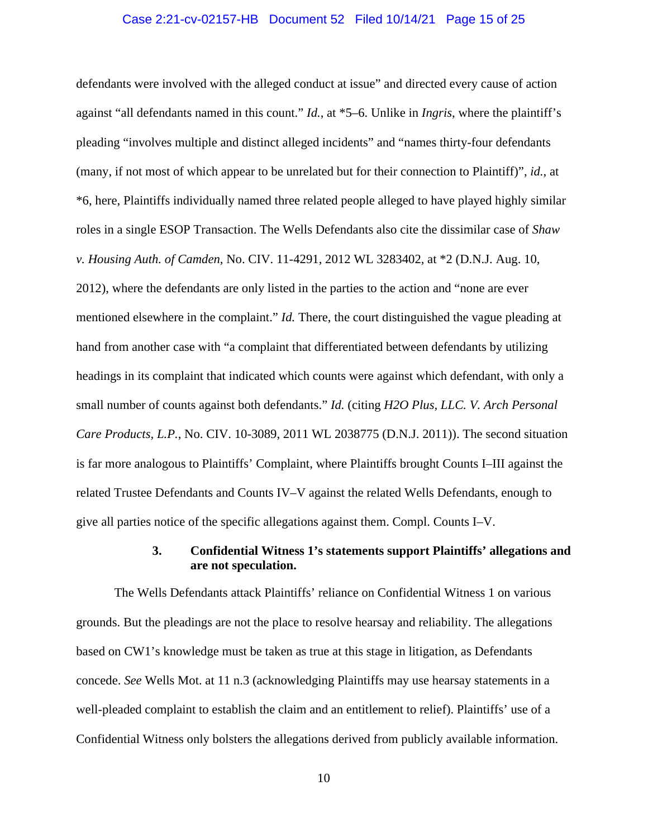#### Case 2:21-cv-02157-HB Document 52 Filed 10/14/21 Page 15 of 25

defendants were involved with the alleged conduct at issue" and directed every cause of action against "all defendants named in this count." *Id.*, at \*5–6. Unlike in *Ingris*, where the plaintiff's pleading "involves multiple and distinct alleged incidents" and "names thirty-four defendants (many, if not most of which appear to be unrelated but for their connection to Plaintiff)", *id.*, at \*6, here, Plaintiffs individually named three related people alleged to have played highly similar roles in a single ESOP Transaction. The Wells Defendants also cite the dissimilar case of *Shaw v. Housing Auth. of Camden*, No. CIV. 11-4291, 2012 WL 3283402, at \*2 (D.N.J. Aug. 10, 2012), where the defendants are only listed in the parties to the action and "none are ever mentioned elsewhere in the complaint." *Id.* There, the court distinguished the vague pleading at hand from another case with "a complaint that differentiated between defendants by utilizing headings in its complaint that indicated which counts were against which defendant, with only a small number of counts against both defendants." *Id.* (citing *H2O Plus, LLC. V. Arch Personal Care Products, L.P.*, No. CIV. 10-3089, 2011 WL 2038775 (D.N.J. 2011)). The second situation is far more analogous to Plaintiffs' Complaint, where Plaintiffs brought Counts I–III against the related Trustee Defendants and Counts IV–V against the related Wells Defendants, enough to give all parties notice of the specific allegations against them. Compl. Counts I–V.

## **3. Confidential Witness 1's statements support Plaintiffs' allegations and are not speculation.**

The Wells Defendants attack Plaintiffs' reliance on Confidential Witness 1 on various grounds. But the pleadings are not the place to resolve hearsay and reliability. The allegations based on CW1's knowledge must be taken as true at this stage in litigation, as Defendants concede. *See* Wells Mot. at 11 n.3 (acknowledging Plaintiffs may use hearsay statements in a well-pleaded complaint to establish the claim and an entitlement to relief). Plaintiffs' use of a Confidential Witness only bolsters the allegations derived from publicly available information.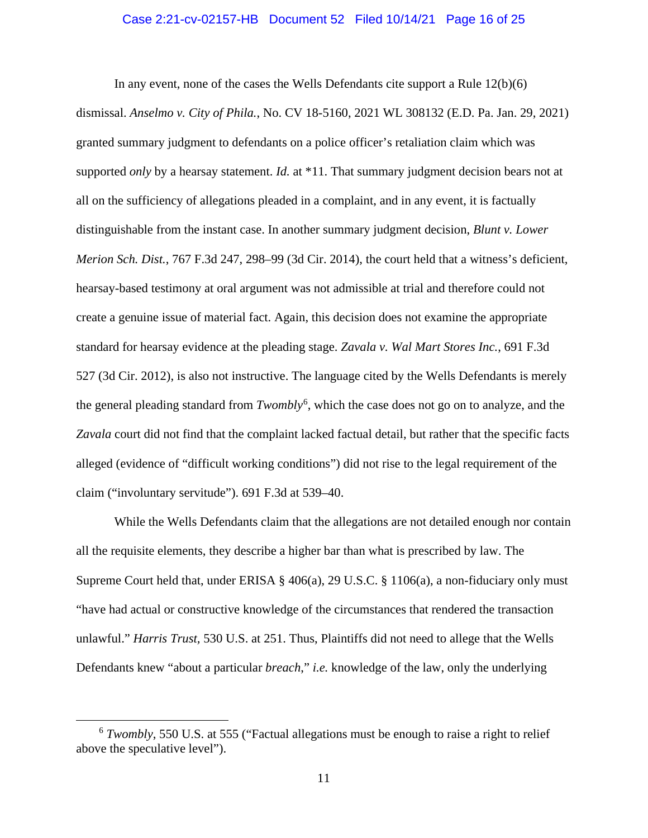#### Case 2:21-cv-02157-HB Document 52 Filed 10/14/21 Page 16 of 25

In any event, none of the cases the Wells Defendants cite support a Rule 12(b)(6) dismissal. *Anselmo v. City of Phila.*, No. CV 18-5160, 2021 WL 308132 (E.D. Pa. Jan. 29, 2021) granted summary judgment to defendants on a police officer's retaliation claim which was supported *only* by a hearsay statement. *Id.* at \*11. That summary judgment decision bears not at all on the sufficiency of allegations pleaded in a complaint, and in any event, it is factually distinguishable from the instant case. In another summary judgment decision, *Blunt v. Lower Merion Sch. Dist.*, 767 F.3d 247, 298–99 (3d Cir. 2014), the court held that a witness's deficient, hearsay-based testimony at oral argument was not admissible at trial and therefore could not create a genuine issue of material fact. Again, this decision does not examine the appropriate standard for hearsay evidence at the pleading stage. *Zavala v. Wal Mart Stores Inc.*, 691 F.3d 527 (3d Cir. 2012), is also not instructive. The language cited by the Wells Defendants is merely the general pleading standard from *Twombly*[6](#page-15-0) , which the case does not go on to analyze, and the *Zavala* court did not find that the complaint lacked factual detail, but rather that the specific facts alleged (evidence of "difficult working conditions") did not rise to the legal requirement of the claim ("involuntary servitude"). 691 F.3d at 539–40.

While the Wells Defendants claim that the allegations are not detailed enough nor contain all the requisite elements, they describe a higher bar than what is prescribed by law. The Supreme Court held that, under ERISA  $\S$  406(a), 29 U.S.C.  $\S$  1106(a), a non-fiduciary only must "have had actual or constructive knowledge of the circumstances that rendered the transaction unlawful." *Harris Trust,* 530 U.S. at 251. Thus, Plaintiffs did not need to allege that the Wells Defendants knew "about a particular *breach*," *i.e.* knowledge of the law, only the underlying

<span id="page-15-0"></span><sup>6</sup> *Twombly*, 550 U.S. at 555 ("Factual allegations must be enough to raise a right to relief above the speculative level").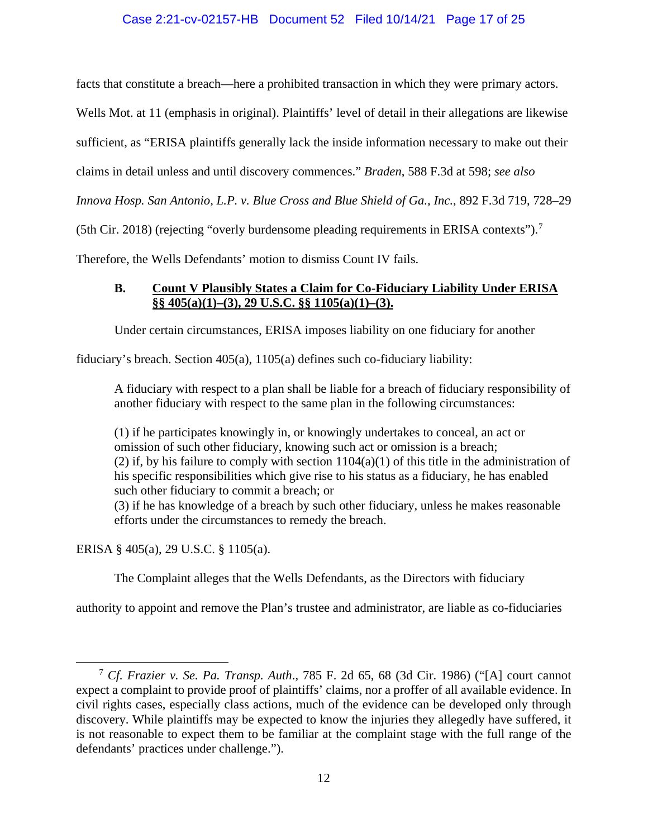## Case 2:21-cv-02157-HB Document 52 Filed 10/14/21 Page 17 of 25

facts that constitute a breach—here a prohibited transaction in which they were primary actors.

Wells Mot. at 11 (emphasis in original). Plaintiffs' level of detail in their allegations are likewise

sufficient, as "ERISA plaintiffs generally lack the inside information necessary to make out their

claims in detail unless and until discovery commences." *Braden*, 588 F.3d at 598; *see also*

*Innova Hosp. San Antonio, L.P. v. Blue Cross and Blue Shield of Ga., Inc.*, 892 F.3d 719, 728–29

(5th Cir. 2018) (rejecting "overly burdensome pleading requirements in ERISA contexts").[7](#page-16-0)

Therefore, the Wells Defendants' motion to dismiss Count IV fails.

## **B. Count V Plausibly States a Claim for Co-Fiduciary Liability Under ERISA §§ 405(a)(1)–(3), 29 U.S.C. §§ 1105(a)(1)–(3).**

Under certain circumstances, ERISA imposes liability on one fiduciary for another

fiduciary's breach. Section 405(a), 1105(a) defines such co-fiduciary liability:

A fiduciary with respect to a plan shall be liable for a breach of fiduciary responsibility of another fiduciary with respect to the same plan in the following circumstances:

(1) if he participates knowingly in, or knowingly undertakes to conceal, an act or omission of such other fiduciary, knowing such act or omission is a breach; (2) if, by his failure to comply with section  $1104(a)(1)$  of this title in the administration of his specific responsibilities which give rise to his status as a fiduciary, he has enabled such other fiduciary to commit a breach; or (3) if he has knowledge of a breach by such other fiduciary, unless he makes reasonable

efforts under the circumstances to remedy the breach.

ERISA § 405(a), 29 U.S.C. § 1105(a).

The Complaint alleges that the Wells Defendants, as the Directors with fiduciary

authority to appoint and remove the Plan's trustee and administrator, are liable as co-fiduciaries

<span id="page-16-0"></span><sup>7</sup> *Cf. Frazier v. Se. Pa. Transp. Auth*., 785 F. 2d 65, 68 (3d Cir. 1986) ("[A] court cannot expect a complaint to provide proof of plaintiffs' claims, nor a proffer of all available evidence. In civil rights cases, especially class actions, much of the evidence can be developed only through discovery. While plaintiffs may be expected to know the injuries they allegedly have suffered, it is not reasonable to expect them to be familiar at the complaint stage with the full range of the defendants' practices under challenge.").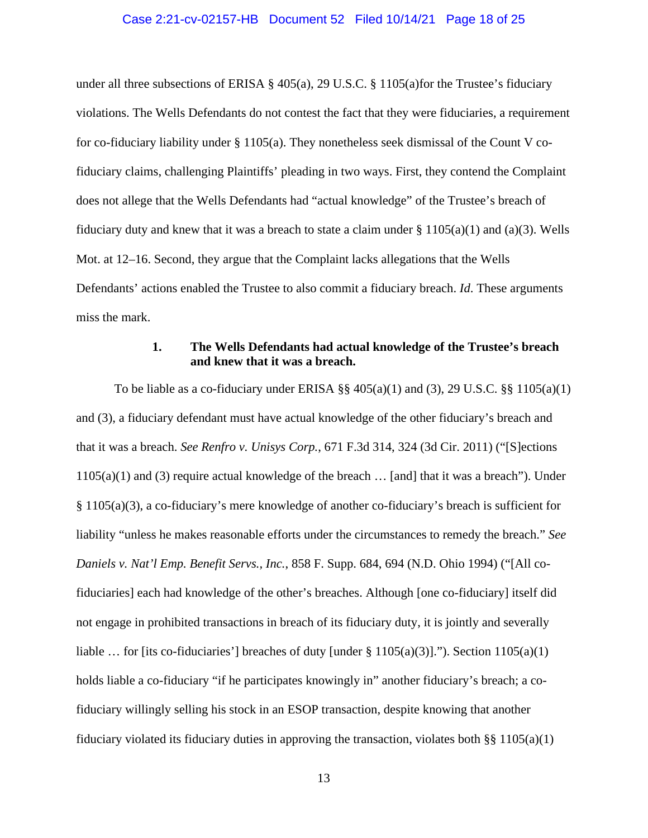#### Case 2:21-cv-02157-HB Document 52 Filed 10/14/21 Page 18 of 25

under all three subsections of ERISA § 405(a), 29 U.S.C. § 1105(a)for the Trustee's fiduciary violations. The Wells Defendants do not contest the fact that they were fiduciaries, a requirement for co-fiduciary liability under § 1105(a). They nonetheless seek dismissal of the Count V cofiduciary claims, challenging Plaintiffs' pleading in two ways. First, they contend the Complaint does not allege that the Wells Defendants had "actual knowledge" of the Trustee's breach of fiduciary duty and knew that it was a breach to state a claim under  $\S 1105(a)(1)$  and (a)(3). Wells Mot. at 12–16. Second, they argue that the Complaint lacks allegations that the Wells Defendants' actions enabled the Trustee to also commit a fiduciary breach. *Id*. These arguments miss the mark.

## **1. The Wells Defendants had actual knowledge of the Trustee's breach and knew that it was a breach.**

To be liable as a co-fiduciary under ERISA  $\S$  405(a)(1) and (3), 29 U.S.C.  $\S$  1105(a)(1) and (3), a fiduciary defendant must have actual knowledge of the other fiduciary's breach and that it was a breach. *See Renfro v. Unisys Corp.*, 671 F.3d 314, 324 (3d Cir. 2011) ("[S]ections  $1105(a)(1)$  and (3) require actual knowledge of the breach ... [and] that it was a breach"). Under § 1105(a)(3), a co-fiduciary's mere knowledge of another co-fiduciary's breach is sufficient for liability "unless he makes reasonable efforts under the circumstances to remedy the breach." *See Daniels v. Nat'l Emp. Benefit Servs., Inc.*, 858 F. Supp. 684, 694 (N.D. Ohio 1994) ("[All cofiduciaries] each had knowledge of the other's breaches. Although [one co-fiduciary] itself did not engage in prohibited transactions in breach of its fiduciary duty, it is jointly and severally liable ... for [its co-fiduciaries'] breaches of duty [under  $\S 1105(a)(3)$ ]."). Section 1105(a)(1) holds liable a co-fiduciary "if he participates knowingly in" another fiduciary's breach; a cofiduciary willingly selling his stock in an ESOP transaction, despite knowing that another fiduciary violated its fiduciary duties in approving the transaction, violates both §§ 1105(a)(1)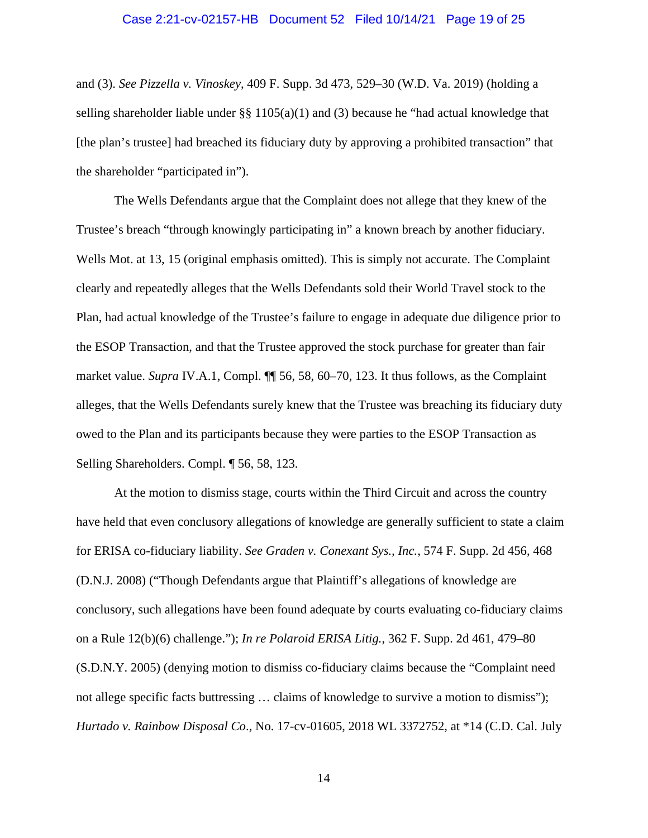#### Case 2:21-cv-02157-HB Document 52 Filed 10/14/21 Page 19 of 25

and (3). *See Pizzella v. Vinoskey*, 409 F. Supp. 3d 473, 529–30 (W.D. Va. 2019) (holding a selling shareholder liable under §§ 1105(a)(1) and (3) because he "had actual knowledge that [the plan's trustee] had breached its fiduciary duty by approving a prohibited transaction" that the shareholder "participated in").

The Wells Defendants argue that the Complaint does not allege that they knew of the Trustee's breach "through knowingly participating in" a known breach by another fiduciary. Wells Mot. at 13, 15 (original emphasis omitted). This is simply not accurate. The Complaint clearly and repeatedly alleges that the Wells Defendants sold their World Travel stock to the Plan, had actual knowledge of the Trustee's failure to engage in adequate due diligence prior to the ESOP Transaction, and that the Trustee approved the stock purchase for greater than fair market value. *Supra* IV.A.1, Compl. **[1]** 56, 58, 60–70, 123. It thus follows, as the Complaint alleges, that the Wells Defendants surely knew that the Trustee was breaching its fiduciary duty owed to the Plan and its participants because they were parties to the ESOP Transaction as Selling Shareholders. Compl. ¶ 56, 58, 123.

At the motion to dismiss stage, courts within the Third Circuit and across the country have held that even conclusory allegations of knowledge are generally sufficient to state a claim for ERISA co-fiduciary liability. *See Graden v. Conexant Sys., Inc.*, 574 F. Supp. 2d 456, 468 (D.N.J. 2008) ("Though Defendants argue that Plaintiff's allegations of knowledge are conclusory, such allegations have been found adequate by courts evaluating co-fiduciary claims on a Rule 12(b)(6) challenge."); *In re Polaroid ERISA Litig.*, 362 F. Supp. 2d 461, 479–80 (S.D.N.Y. 2005) (denying motion to dismiss co-fiduciary claims because the "Complaint need not allege specific facts buttressing ... claims of knowledge to survive a motion to dismiss"); *Hurtado v. Rainbow Disposal Co*., No. 17-cv-01605, 2018 WL 3372752, at \*14 (C.D. Cal. July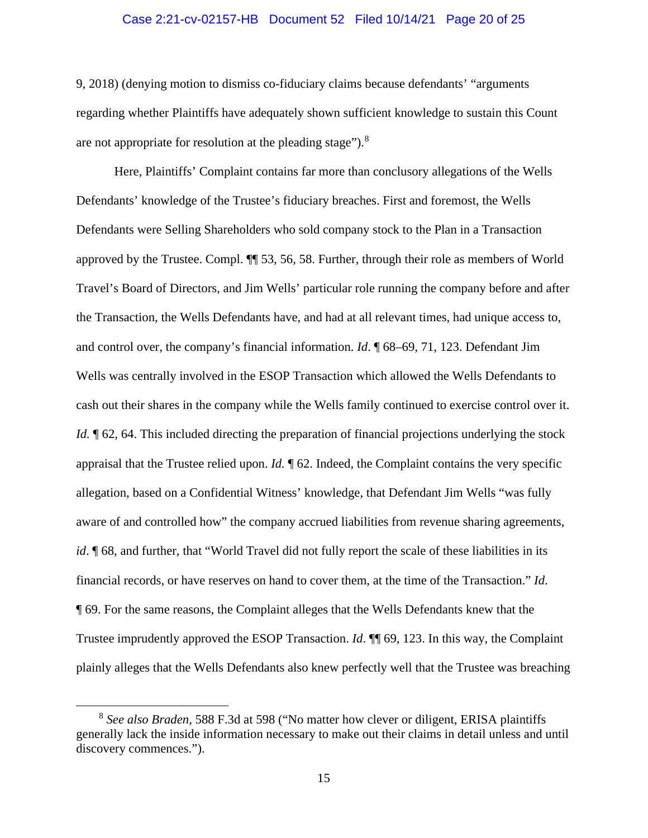#### Case 2:21-cv-02157-HB Document 52 Filed 10/14/21 Page 20 of 25

9, 2018) (denying motion to dismiss co-fiduciary claims because defendants' "arguments regarding whether Plaintiffs have adequately shown sufficient knowledge to sustain this Count are not appropriate for resolution at the pleading stage").<sup>[8](#page-19-0)</sup>

Here, Plaintiffs' Complaint contains far more than conclusory allegations of the Wells Defendants' knowledge of the Trustee's fiduciary breaches. First and foremost, the Wells Defendants were Selling Shareholders who sold company stock to the Plan in a Transaction approved by the Trustee. Compl. ¶¶ 53, 56, 58. Further, through their role as members of World Travel's Board of Directors, and Jim Wells' particular role running the company before and after the Transaction, the Wells Defendants have, and had at all relevant times, had unique access to, and control over, the company's financial information. *Id*. ¶ 68–69, 71, 123. Defendant Jim Wells was centrally involved in the ESOP Transaction which allowed the Wells Defendants to cash out their shares in the company while the Wells family continued to exercise control over it. *Id.*  $\phi$  62, 64. This included directing the preparation of financial projections underlying the stock appraisal that the Trustee relied upon. *Id.* ¶ 62. Indeed, the Complaint contains the very specific allegation, based on a Confidential Witness' knowledge, that Defendant Jim Wells "was fully aware of and controlled how" the company accrued liabilities from revenue sharing agreements, *id*. **[68, and further, that "World Travel did not fully report the scale of these liabilities in its** financial records, or have reserves on hand to cover them, at the time of the Transaction." *Id*. ¶ 69. For the same reasons, the Complaint alleges that the Wells Defendants knew that the Trustee imprudently approved the ESOP Transaction. *Id*. ¶¶ 69, 123. In this way, the Complaint plainly alleges that the Wells Defendants also knew perfectly well that the Trustee was breaching

<span id="page-19-0"></span><sup>8</sup> *See also Braden,* 588 F.3d at 598 ("No matter how clever or diligent, ERISA plaintiffs generally lack the inside information necessary to make out their claims in detail unless and until discovery commences.").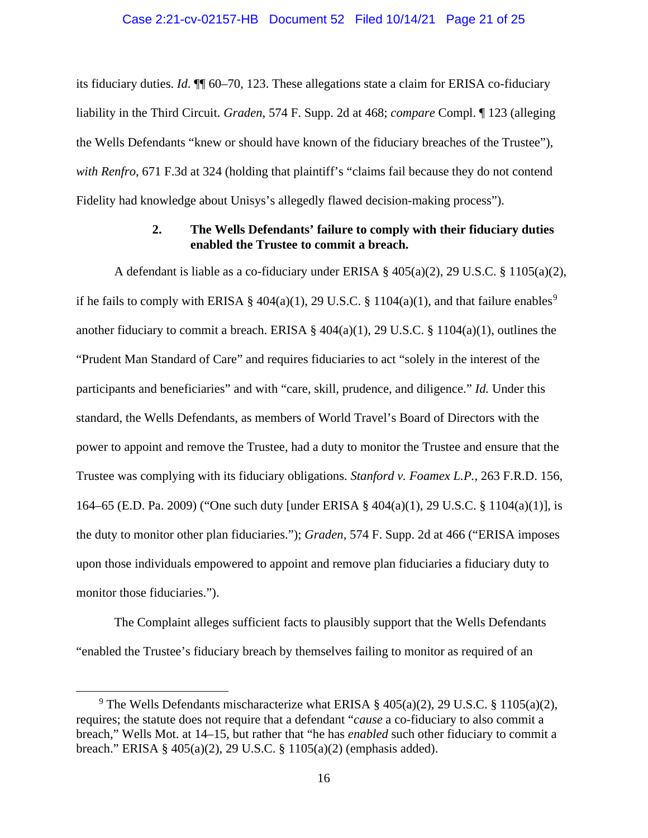its fiduciary duties. *Id*. ¶¶ 60–70, 123. These allegations state a claim for ERISA co-fiduciary liability in the Third Circuit. *Graden*, 574 F. Supp. 2d at 468; *compare* Compl. ¶ 123 (alleging the Wells Defendants "knew or should have known of the fiduciary breaches of the Trustee"), *with Renfro*, 671 F.3d at 324 (holding that plaintiff's "claims fail because they do not contend Fidelity had knowledge about Unisys's allegedly flawed decision-making process").

## **2. The Wells Defendants' failure to comply with their fiduciary duties enabled the Trustee to commit a breach.**

A defendant is liable as a co-fiduciary under ERISA § 405(a)(2), 29 U.S.C. § 1105(a)(2), if he fails to comply with ERISA § 404(a)(1), 2[9](#page-20-0) U.S.C. § 1104(a)(1), and that failure enables<sup>9</sup> another fiduciary to commit a breach. ERISA §  $404(a)(1)$ , 29 U.S.C. § 1104(a)(1), outlines the "Prudent Man Standard of Care" and requires fiduciaries to act "solely in the interest of the participants and beneficiaries" and with "care, skill, prudence, and diligence." *Id.* Under this standard, the Wells Defendants, as members of World Travel's Board of Directors with the power to appoint and remove the Trustee, had a duty to monitor the Trustee and ensure that the Trustee was complying with its fiduciary obligations. *Stanford v. Foamex L.P.*, 263 F.R.D. 156, 164–65 (E.D. Pa. 2009) ("One such duty [under ERISA § 404(a)(1), 29 U.S.C. § 1104(a)(1)], is the duty to monitor other plan fiduciaries."); *Graden*, 574 F. Supp. 2d at 466 ("ERISA imposes upon those individuals empowered to appoint and remove plan fiduciaries a fiduciary duty to monitor those fiduciaries.").

The Complaint alleges sufficient facts to plausibly support that the Wells Defendants "enabled the Trustee's fiduciary breach by themselves failing to monitor as required of an

<span id="page-20-0"></span><sup>&</sup>lt;sup>9</sup> The Wells Defendants mischaracterize what ERISA  $\S$  405(a)(2), 29 U.S.C.  $\S$  1105(a)(2), requires; the statute does not require that a defendant "*cause* a co-fiduciary to also commit a breach," Wells Mot. at 14–15, but rather that "he has *enabled* such other fiduciary to commit a breach." ERISA § 405(a)(2), 29 U.S.C. § 1105(a)(2) (emphasis added).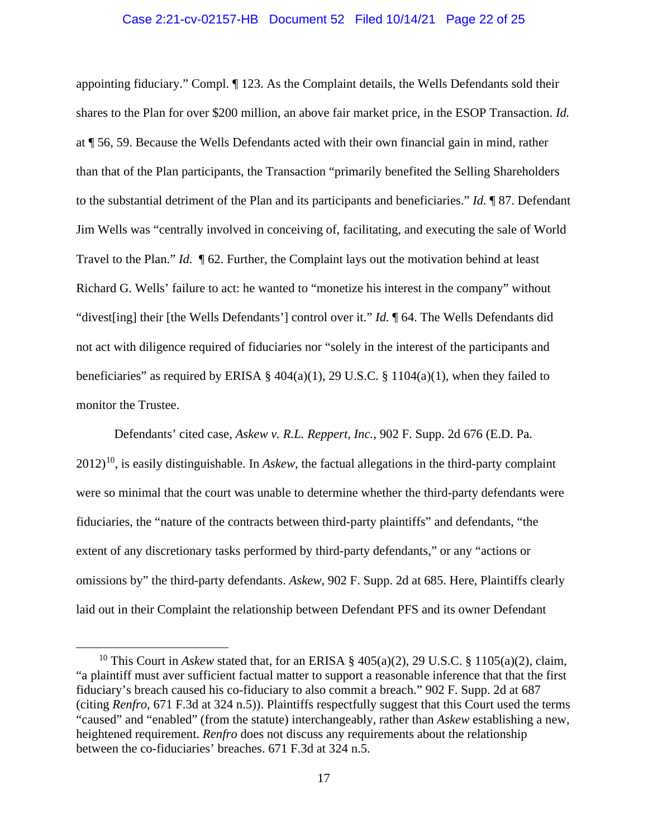#### Case 2:21-cv-02157-HB Document 52 Filed 10/14/21 Page 22 of 25

appointing fiduciary." Compl. ¶ 123. As the Complaint details, the Wells Defendants sold their shares to the Plan for over \$200 million, an above fair market price, in the ESOP Transaction. *Id.*  at ¶ 56, 59. Because the Wells Defendants acted with their own financial gain in mind, rather than that of the Plan participants, the Transaction "primarily benefited the Selling Shareholders to the substantial detriment of the Plan and its participants and beneficiaries." *Id.* ¶ 87. Defendant Jim Wells was "centrally involved in conceiving of, facilitating, and executing the sale of World Travel to the Plan." *Id.* ¶ 62. Further, the Complaint lays out the motivation behind at least Richard G. Wells' failure to act: he wanted to "monetize his interest in the company" without "divest[ing] their [the Wells Defendants'] control over it." *Id.* ¶ 64. The Wells Defendants did not act with diligence required of fiduciaries nor "solely in the interest of the participants and beneficiaries" as required by ERISA §  $404(a)(1)$ , 29 U.S.C. § 1104(a)(1), when they failed to monitor the Trustee.

Defendants' cited case, *Askew v. R.L. Reppert, Inc.*, 902 F. Supp. 2d 676 (E.D. Pa.  $2012$ <sup>10</sup>, is easily distinguishable. In *Askew*, the factual allegations in the third-party complaint were so minimal that the court was unable to determine whether the third-party defendants were fiduciaries, the "nature of the contracts between third-party plaintiffs" and defendants, "the extent of any discretionary tasks performed by third-party defendants," or any "actions or omissions by" the third-party defendants. *Askew*, 902 F. Supp. 2d at 685. Here, Plaintiffs clearly laid out in their Complaint the relationship between Defendant PFS and its owner Defendant

<span id="page-21-0"></span><sup>&</sup>lt;sup>10</sup> This Court in *Askew* stated that, for an ERISA  $\S$  405(a)(2), 29 U.S.C.  $\S$  1105(a)(2), claim, "a plaintiff must aver sufficient factual matter to support a reasonable inference that that the first fiduciary's breach caused his co-fiduciary to also commit a breach." 902 F. Supp. 2d at 687 (citing *Renfro,* 671 F.3d at 324 n.5)). Plaintiffs respectfully suggest that this Court used the terms "caused" and "enabled" (from the statute) interchangeably, rather than *Askew* establishing a new, heightened requirement. *Renfro* does not discuss any requirements about the relationship between the co-fiduciaries' breaches. 671 F.3d at 324 n.5.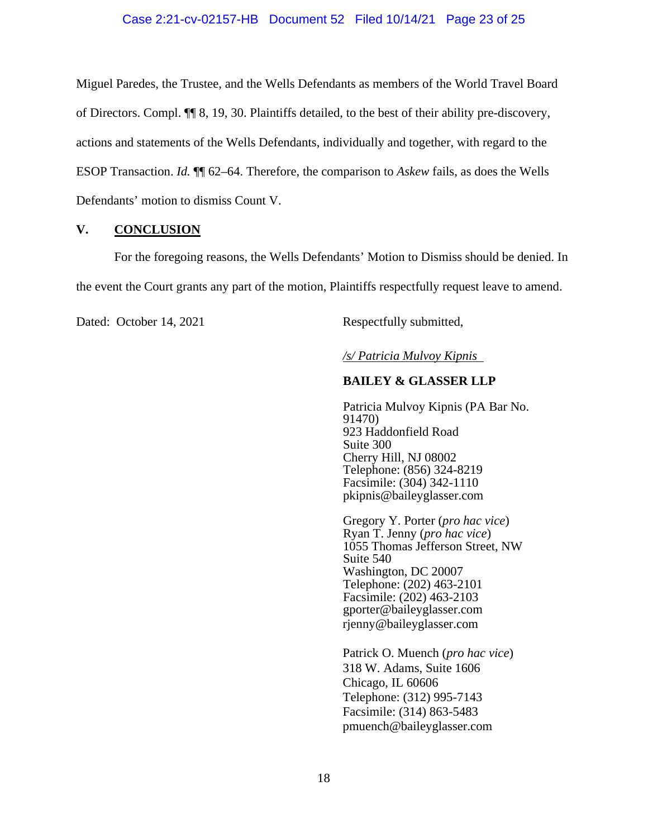Miguel Paredes, the Trustee, and the Wells Defendants as members of the World Travel Board of Directors. Compl. ¶¶ 8, 19, 30. Plaintiffs detailed, to the best of their ability pre-discovery, actions and statements of the Wells Defendants, individually and together, with regard to the ESOP Transaction. *Id.* ¶¶ 62–64. Therefore, the comparison to *Askew* fails, as does the Wells Defendants' motion to dismiss Count V.

## **V. CONCLUSION**

For the foregoing reasons, the Wells Defendants' Motion to Dismiss should be denied. In the event the Court grants any part of the motion, Plaintiffs respectfully request leave to amend.

Dated: October 14, 2021 Respectfully submitted,

*/s/ Patricia Mulvoy Kipnis* 

## **BAILEY & GLASSER LLP**

Patricia Mulvoy Kipnis (PA Bar No. 91470) 923 Haddonfield Road Suite 300 Cherry Hill, NJ 08002 Telephone: (856) 324-8219 Facsimile: (304) 342-1110 pkipnis@baileyglasser.com

Gregory Y. Porter (*pro hac vice*) Ryan T. Jenny (*pro hac vice*) 1055 Thomas Jefferson Street, NW Suite 540 Washington, DC 20007 Telephone: (202) 463-2101 Facsimile: (202) 463-2103 gporter@baileyglasser.com rjenny@baileyglasser.com

Patrick O. Muench (*pro hac vice*) 318 W. Adams, Suite 1606 Chicago, IL 60606 Telephone: (312) 995-7143 Facsimile: (314) 863-5483 pmuench@baileyglasser.com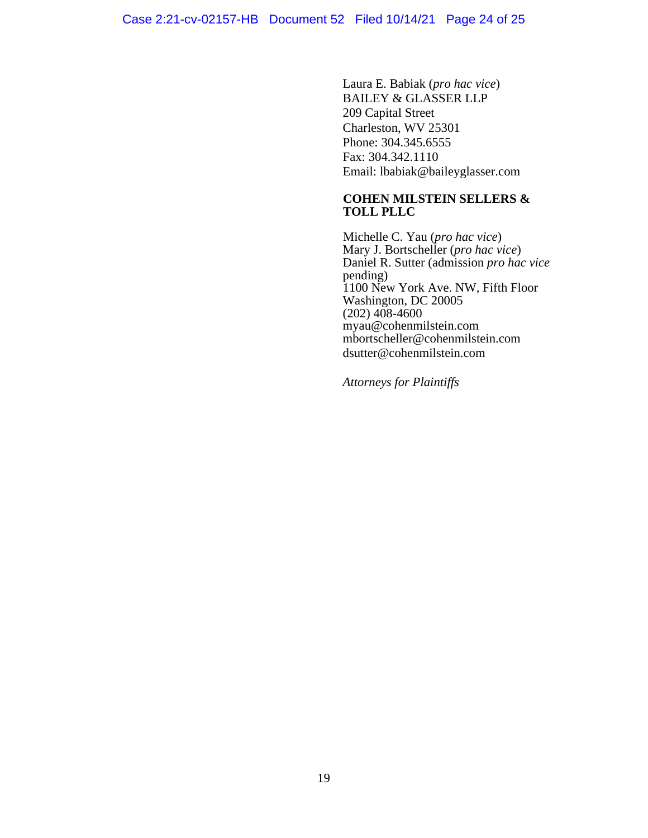Laura E. Babiak (*pro hac vice*) BAILEY & GLASSER LLP 209 Capital Street Charleston, WV 25301 Phone: 304.345.6555 Fax: 304.342.1110 Email: lbabiak@baileyglasser.com

## **COHEN MILSTEIN SELLERS & TOLL PLLC**

Michelle C. Yau (*pro hac vice*) Mary J. Bortscheller (*pro hac vice*) Daniel R. Sutter (admission *pro hac vice* pending) 1100 New York Ave. NW, Fifth Floor Washington, DC 20005  $(202)$  408-4600 myau@cohenmilstein.com mbortscheller@cohenmilstein.com dsutter@cohenmilstein.com

*Attorneys for Plaintiffs*